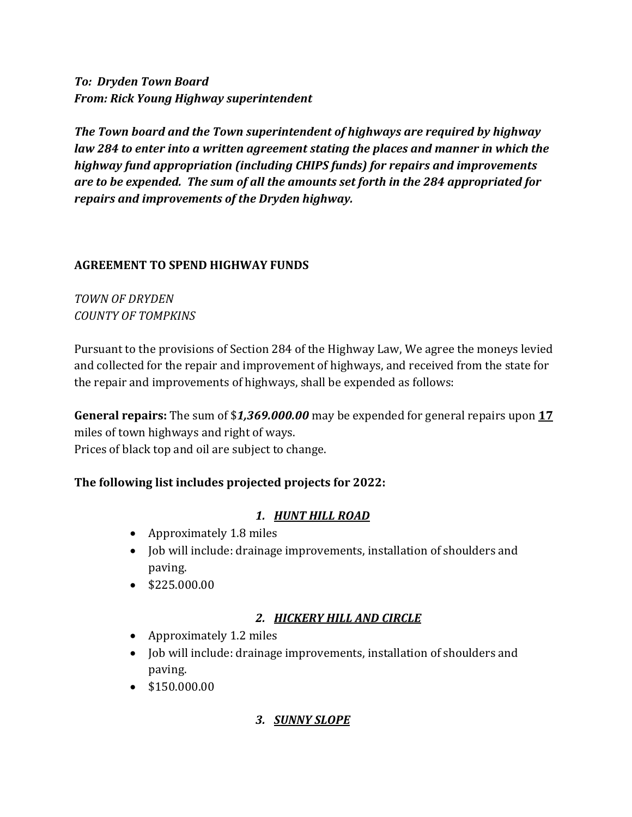*To: Dryden Town Board From: Rick Young Highway superintendent*

*The Town board and the Town superintendent of highways are required by highway law 284 to enter into a written agreement stating the places and manner in which the highway fund appropriation (including CHIPS funds) for repairs and improvements are to be expended. The sum of all the amounts set forth in the 284 appropriated for repairs and improvements of the Dryden highway.*

### **AGREEMENT TO SPEND HIGHWAY FUNDS**

### *TOWN OF DRYDEN COUNTY OF TOMPKINS*

Pursuant to the provisions of Section 284 of the Highway Law, We agree the moneys levied and collected for the repair and improvement of highways, and received from the state for the repair and improvements of highways, shall be expended as follows:

**General repairs:** The sum of \$*1,369.000.00* may be expended for general repairs upon **17** miles of town highways and right of ways. Prices of black top and oil are subject to change.

## **The following list includes projected projects for 2022:**

# *1. HUNT HILL ROAD*

- Approximately 1.8 miles
- Job will include: drainage improvements, installation of shoulders and paving.
- \$225.000.00

## *2. HICKERY HILL AND CIRCLE*

- Approximately 1.2 miles
- Job will include: drainage improvements, installation of shoulders and paving.
- \$150.000.00

## *3. SUNNY SLOPE*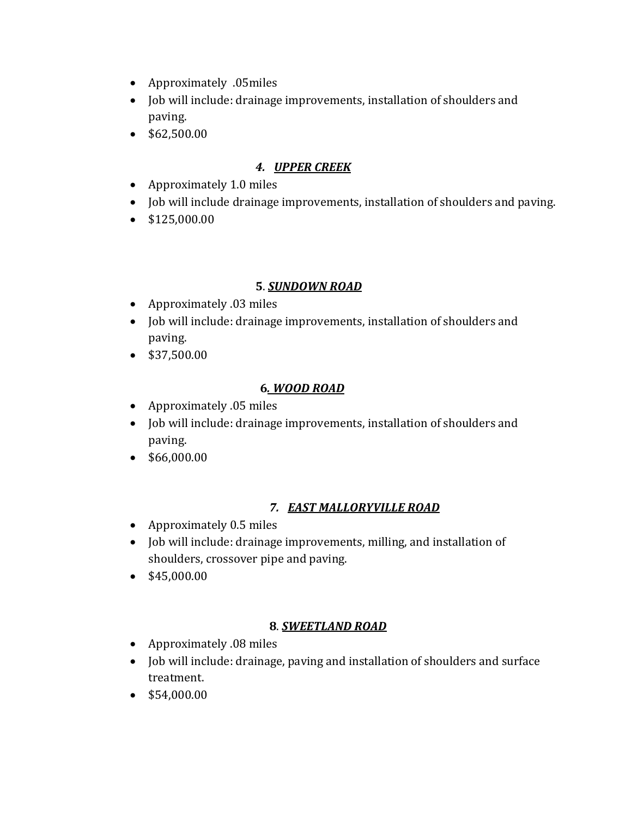- Approximately .05miles
- Job will include: drainage improvements, installation of shoulders and paving.
- \$62,500.00

## *4. UPPER CREEK*

- Approximately 1.0 miles
- Job will include drainage improvements, installation of shoulders and paving.
- \$125,000.00

### **5**. *SUNDOWN ROAD*

- Approximately .03 miles
- Job will include: drainage improvements, installation of shoulders and paving.
- \$37,500.00

## **6***. WOOD ROAD*

- Approximately .05 miles
- Job will include: drainage improvements, installation of shoulders and paving.
- \$66,000.00

# *7. EAST MALLORYVILLE ROAD*

- Approximately 0.5 miles
- Job will include: drainage improvements, milling, and installation of shoulders, crossover pipe and paving.
- $\bullet$  \$45,000.00

# **8**. *SWEETLAND ROAD*

- Approximately .08 miles
- Job will include: drainage, paving and installation of shoulders and surface treatment.
- \$54,000.00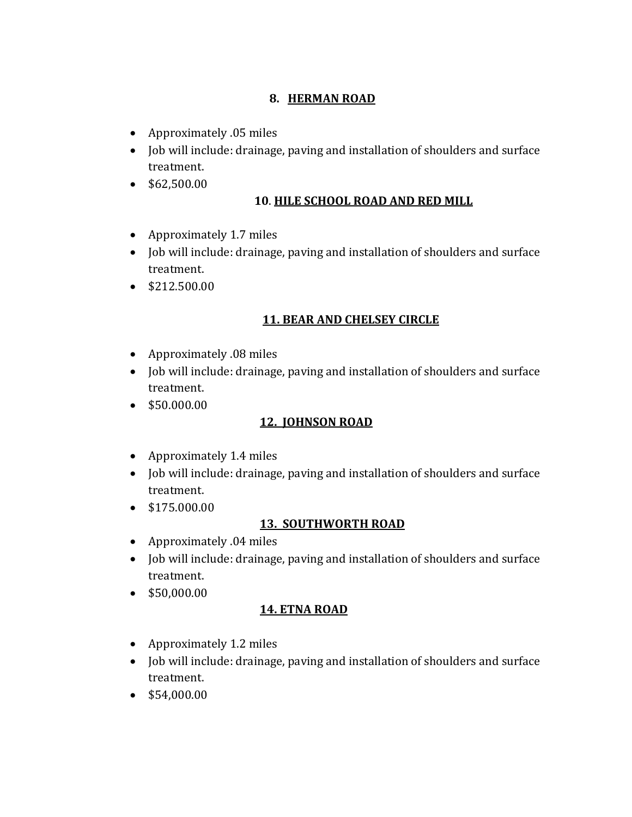### **8. HERMAN ROAD**

- Approximately .05 miles
- Job will include: drainage, paving and installation of shoulders and surface treatment.
- $\bullet$  \$62,500.00

### **10**. **HILE SCHOOL ROAD AND RED MILL**

- Approximately 1.7 miles
- Job will include: drainage, paving and installation of shoulders and surface treatment.
- $\bullet$  \$212.500.00

### **11. BEAR AND CHELSEY CIRCLE**

- Approximately .08 miles
- Job will include: drainage, paving and installation of shoulders and surface treatment.
- \$50.000.00

### **12. JOHNSON ROAD**

- Approximately 1.4 miles
- Job will include: drainage, paving and installation of shoulders and surface treatment.
- \$175.000.00

### **13. SOUTHWORTH ROAD**

- Approximately .04 miles
- Job will include: drainage, paving and installation of shoulders and surface treatment.
- \$50,000.00

### **14. ETNA ROAD**

- Approximately 1.2 miles
- Job will include: drainage, paving and installation of shoulders and surface treatment.
- $\bullet$  \$54,000.00